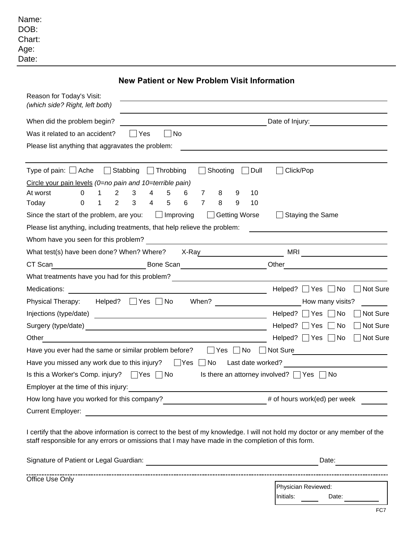| Name:  |
|--------|
| DOB:   |
| Chart: |
| Age:   |
| Date:  |

**New Patient or New Problem Visit Information**

| Reason for Today's Visit:<br>(which side? Right, left both)                                                                                                 |                                                     |
|-------------------------------------------------------------------------------------------------------------------------------------------------------------|-----------------------------------------------------|
| When did the problem begin?                                                                                                                                 | Date of Injury:                                     |
| Was it related to an accident?<br>Yes<br><b>No</b>                                                                                                          |                                                     |
| Please list anything that aggravates the problem:                                                                                                           |                                                     |
|                                                                                                                                                             |                                                     |
| Type of pain: $\Box$ Ache $\Box$ Stabbing $\Box$ Throbbing<br>Shooting<br>$\Box$ Dull                                                                       | Click/Pop                                           |
| Circle your pain levels $(0=$ no pain and 10=terrible pain)                                                                                                 |                                                     |
| $\Omega$<br>2<br>3<br>At worst<br>4<br>5<br>6<br>$\overline{7}$<br>8<br>10<br>9                                                                             |                                                     |
| 2<br>3<br>$\overline{4}$<br>5<br>$\overline{7}$<br>$\, 8$<br>Today<br>6<br>9<br>10<br>0<br>1                                                                |                                                     |
| $\Box$ Improving<br>Getting Worse<br>Since the start of the problem, are you:                                                                               | <b>Staying the Same</b>                             |
| Please list anything, including treatments, that help relieve the problem:                                                                                  |                                                     |
| Whom have you seen for this problem?<br><u> 1989 - Johann Barn, mars eta bainar eta baina eta baina eta baina eta baina eta baina eta baina eta baina e</u> |                                                     |
| What test(s) have been done? When? Where? X-Ray                                                                                                             | MRI <u>______________</u>                           |
| CT Scan                                                                                                                                                     | Other                                               |
| What treatments have you had for this problem?                                                                                                              |                                                     |
| Medications:                                                                                                                                                | Helped? $\Box$ Yes $\Box$ No<br>Not Sure            |
| When?<br>Physical Therapy: Helped? □ Yes □ No                                                                                                               | How many visits?                                    |
|                                                                                                                                                             | Not Sure<br>Helped? $\Box$ Yes<br>$\sqcap$ No       |
|                                                                                                                                                             | Not Sure<br>Helped? $\Box$ Yes<br>  No              |
| Other                                                                                                                                                       | $\Box$ Not Sure<br>Helped? $\Box$ Yes $\Box$ No     |
| Have you ever had the same or similar problem before?<br>Yes No Not Sure                                                                                    |                                                     |
| Have you missed any work due to this injury? $\Box$ Yes $\Box$ No                                                                                           | Last date worked?                                   |
| Is this a Worker's Comp. injury? ■ Yes ■ No                                                                                                                 | Is there an attorney involved? $\Box$ Yes $\Box$ No |
| Employer at the time of this injury:                                                                                                                        |                                                     |
| How long have you worked for this company?                                                                                                                  | # of hours work(ed) per week                        |
| <b>Current Employer:</b>                                                                                                                                    |                                                     |

I certify that the above information is correct to the best of my knowledge. I will not hold my doctor or any member of the staff responsible for any errors or omissions that I may have made in the completion of this form.

| Signature of Patient or Legal Guardian: |           | Date:               |  |  |
|-----------------------------------------|-----------|---------------------|--|--|
| Office Use Only                         |           |                     |  |  |
|                                         |           | Physician Reviewed: |  |  |
|                                         | Initials: | Date:               |  |  |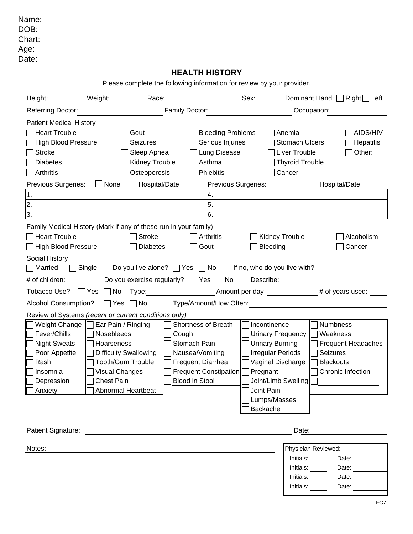Name: DOB: Chart: Age: Date:

## **HEALTH HISTORY HEALTH**

Please complete the following information for review by your provider.

| Height:                                                                                                                                                                     | Weight: Race:                                                                                                                                                                  |                                                                                                          |                                                                                                                               | Sex:                                                                                                                                          |                                                                                             | Dominant Hand: Right Left                                                                              |
|-----------------------------------------------------------------------------------------------------------------------------------------------------------------------------|--------------------------------------------------------------------------------------------------------------------------------------------------------------------------------|----------------------------------------------------------------------------------------------------------|-------------------------------------------------------------------------------------------------------------------------------|-----------------------------------------------------------------------------------------------------------------------------------------------|---------------------------------------------------------------------------------------------|--------------------------------------------------------------------------------------------------------|
| <b>Referring Doctor:</b>                                                                                                                                                    |                                                                                                                                                                                | Family Doctor:                                                                                           |                                                                                                                               |                                                                                                                                               | Occupation:                                                                                 |                                                                                                        |
| <b>Patient Medical History</b><br><b>Heart Trouble</b><br><b>High Blood Pressure</b><br><b>Stroke</b><br><b>Diabetes</b><br>Arthritis<br>Previous Surgeries:<br>1.<br>2.    | Gout<br>None                                                                                                                                                                   | <b>Seizures</b><br>Sleep Apnea<br>Kidney Trouble<br>Osteoporosis<br>Hospital/Date                        | <b>Bleeding Problems</b><br>Serious Injuries<br>Lung Disease<br>Asthma<br><b>Phlebitis</b><br>Previous Surgeries:<br>4.<br>5. |                                                                                                                                               | Anemia<br><b>Stomach Ulcers</b><br><b>Liver Trouble</b><br><b>Thyroid Trouble</b><br>Cancer | AIDS/HIV<br>Hepatitis<br>Other:<br>Hospital/Date                                                       |
| 3.                                                                                                                                                                          |                                                                                                                                                                                |                                                                                                          | 6.                                                                                                                            |                                                                                                                                               |                                                                                             |                                                                                                        |
| Family Medical History (Mark if any of these run in your family)<br><b>Heart Trouble</b><br><b>High Blood Pressure</b><br>Social History<br>Single<br>Married               |                                                                                                                                                                                | <b>Stroke</b><br><b>Diabetes</b><br>Do you live alone? $\Box$ Yes $\Box$ No If no, who do you live with? | $\Box$ Arthritis<br>Gout                                                                                                      | Bleeding                                                                                                                                      | Kidney Trouble                                                                              | Alcoholism<br>Cancer                                                                                   |
| # of children:                                                                                                                                                              |                                                                                                                                                                                | Do you exercise regularly? ■ Yes ■ No                                                                    |                                                                                                                               |                                                                                                                                               |                                                                                             |                                                                                                        |
|                                                                                                                                                                             |                                                                                                                                                                                |                                                                                                          |                                                                                                                               |                                                                                                                                               |                                                                                             | Tobacco Use? □ Yes □ No Type: No Type: Amount per day # of years used:                                 |
| <b>Alcohol Consumption?</b>                                                                                                                                                 | $\lnot$ Yes $\lnot$ No                                                                                                                                                         |                                                                                                          | Type/Amount/How Often:                                                                                                        |                                                                                                                                               |                                                                                             |                                                                                                        |
| Review of Systems (recent or current conditions only)<br>Weight Change<br>Fever/Chills<br><b>Night Sweats</b><br>Poor Appetite<br>Rash<br>Insomnia<br>Depression<br>Anxiety | Ear Pain / Ringing<br>Nosebleeds<br>Hoarseness<br><b>Difficulty Swallowing</b><br><b>Tooth/Gum Trouble</b><br><b>Visual Changes</b><br><b>Chest Pain</b><br>Abnormal Heartbeat | Cough                                                                                                    | Shortness of Breath<br>Stomach Pain<br>Nausea/Vomiting<br><b>Frequent Diarrhea</b><br>Frequent Constipation<br>Blood in Stool | Incontinence<br><b>Urinary Burning</b><br><b>Irregular Periods</b><br>Vaginal Discharge<br>Pregnant<br>Joint Pain<br>Lumps/Masses<br>Backache | Urinary Frequency<br>Joint/Limb Swelling                                                    | Numbness<br>Weakness<br><b>Frequent Headaches</b><br>Seizures<br><b>Blackouts</b><br>Chronic Infection |
| Patient Signature:                                                                                                                                                          |                                                                                                                                                                                |                                                                                                          |                                                                                                                               |                                                                                                                                               | Date:                                                                                       |                                                                                                        |
| Notes:                                                                                                                                                                      |                                                                                                                                                                                |                                                                                                          |                                                                                                                               |                                                                                                                                               | Physician Reviewed:<br>Initials:<br>Initials:<br>Initials:<br>Initials:                     | Date: $\_\_$<br>Date:<br>Date:<br>Date:                                                                |